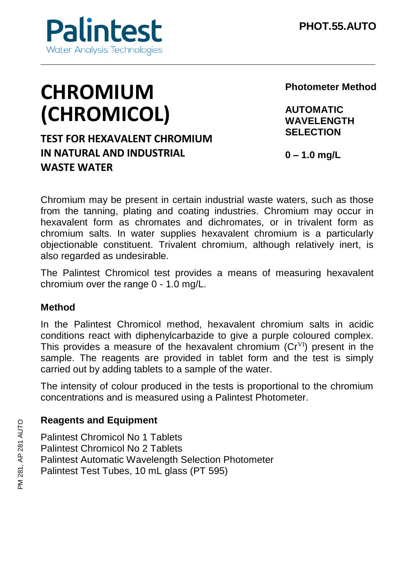

# **CHROMIUM (CHROMICOL)**

**TEST FOR HEXAVALENT CHROMIUM IN NATURAL AND INDUSTRIAL WASTE WATER**

**Photometer Method**

**AUTOMATIC WAVELENGTH SELECTION**

**0 – 1.0 mg/L**

Chromium may be present in certain industrial waste waters, such as those from the tanning, plating and coating industries. Chromium may occur in hexavalent form as chromates and dichromates, or in trivalent form as chromium salts. In water supplies hexavalent chromium is a particularly objectionable constituent. Trivalent chromium, although relatively inert, is also regarded as undesirable.

The Palintest Chromicol test provides a means of measuring hexavalent chromium over the range 0 - 1.0 mg/L.

## **Method**

In the Palintest Chromicol method, hexavalent chromium salts in acidic conditions react with diphenylcarbazide to give a purple coloured complex. This provides a measure of the hexavalent chromium  $(Cr<sup>V1</sup>)$  present in the sample. The reagents are provided in tablet form and the test is simply carried out by adding tablets to a sample of the water.

The intensity of colour produced in the tests is proportional to the chromium concentrations and is measured using a Palintest Photometer.

## **Reagents and Equipment**

Palintest Chromicol No 1 Tablets Palintest Chromicol No 2 Tablets Palintest Automatic Wavelength Selection Photometer Palintest Test Tubes, 10 mL glass (PT 595)